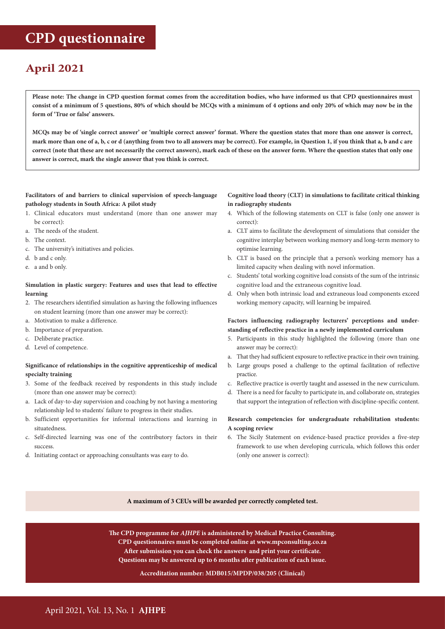# **CPD questionnaire**

# **April 2021**

**Please note: The change in CPD question format comes from the accreditation bodies, who have informed us that CPD questionnaires must consist of a minimum of 5 questions, 80% of which should be MCQs with a minimum of 4 options and only 20% of which may now be in the form of 'True or false' answers.** 

**MCQs may be of 'single correct answer' or 'multiple correct answer' format. Where the question states that more than one answer is correct, mark more than one of a, b, c or d (anything from two to all answers may be correct). For example, in Question 1, if you think that a, b and c are correct (note that these are not necessarily the correct answers), mark each of these on the answer form. Where the question states that only one answer is correct, mark the single answer that you think is correct.**

#### **Facilitators of and barriers to clinical supervision of speech-language pathology students in South Africa: A pilot study**

- 1. Clinical educators must understand (more than one answer may be correct):
- a. The needs of the student.
- b. The context.
- c. The university's initiatives and policies.
- d. b and c only.
- e. a and b only.

#### **Simulation in plastic surgery: Features and uses that lead to effective learning**

- 2. The researchers identified simulation as having the following influences on student learning (more than one answer may be correct):
- a. Motivation to make a difference.
- b. Importance of preparation.
- c. Deliberate practice.
- d. Level of competence.

# **Significance of relationships in the cognitive apprenticeship of medical specialty training**

- 3. Some of the feedback received by respondents in this study include (more than one answer may be correct):
- a. Lack of day-to-day supervision and coaching by not having a mentoring relationship led to students' failure to progress in their studies.
- b. Sufficient opportunities for informal interactions and learning in situatedness.
- c. Self-directed learning was one of the contributory factors in their success.
- d. Initiating contact or approaching consultants was easy to do.

#### **Cognitive load theory (CLT) in simulations to facilitate critical thinking in radiography students**

- 4. Which of the following statements on CLT is false (only one answer is correct):
- a. CLT aims to facilitate the development of simulations that consider the cognitive interplay between working memory and long-term memory to optimise learning.
- b. CLT is based on the principle that a person's working memory has a limited capacity when dealing with novel information.
- c. Students' total working cognitive load consists of the sum of the intrinsic cognitive load and the extraneous cognitive load.
- d. Only when both intrinsic load and extraneous load components exceed working memory capacity, will learning be impaired.

#### **Factors influencing radiography lecturers' perceptions and understanding of reflective practice in a newly implemented curriculum**

- 5. Participants in this study highlighted the following (more than one answer may be correct):
- a. That they had sufficient exposure to reflective practice in their own training.
- b. Large groups posed a challenge to the optimal facilitation of reflective practice.
- c. Reflective practice is overtly taught and assessed in the new curriculum.
- d. There is a need for faculty to participate in, and collaborate on, strategies that support the integration of reflection with discipline-specific content.

#### **Research competencies for undergraduate rehabilitation students: A scoping review**

6. The Sicily Statement on evidence-based practice provides a five-step framework to use when developing curricula, which follows this order (only one answer is correct):

## **A maximum of 3 CEUs will be awarded per correctly completed test.**

**The CPD programme for** *AJHPE* **is administered by Medical Practice Consulting. CPD questionnaires must be completed online at www.mpconsulting.co.za After submission you can check the answers and print your certificate. Questions may be answered up to 6 months after publication of each issue.**

#### **Accreditation number: MDB015/MPDP/038/205 (Clinical)**